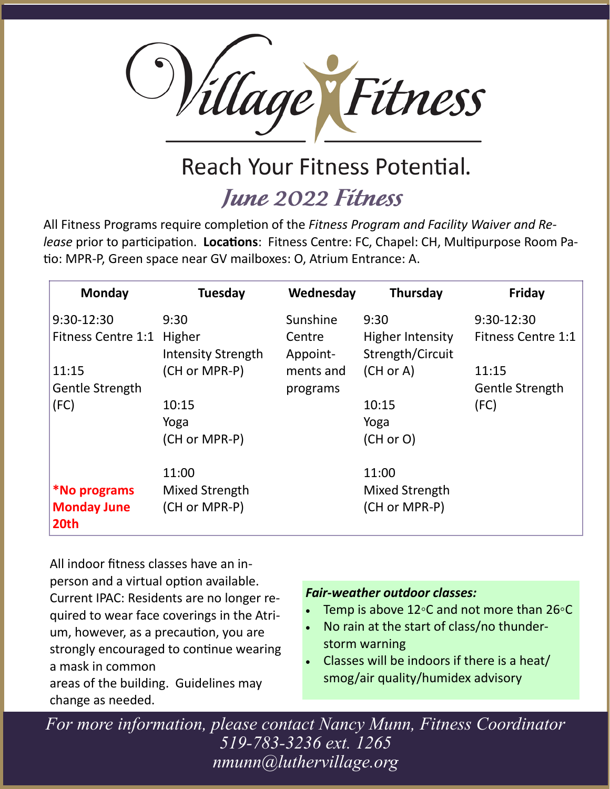

## Reach Your Fitness Potential.

### **June 2022 Fitness**

All Fitness Programs require completion of the *Fitness Program and Facility Waiver and Release* prior to participation. **Locations**: Fitness Centre: FC, Chapel: CH, Multipurpose Room Patio: MPR-P, Green space near GV mailboxes: O, Atrium Entrance: A.

| Monday                     | <b>Tuesday</b>            | Wednesday          | Thursday                                    | <b>Friday</b>             |
|----------------------------|---------------------------|--------------------|---------------------------------------------|---------------------------|
| 9:30-12:30                 | 9:30                      | Sunshine           | 9:30                                        | $9:30-12:30$              |
| Fitness Centre 1:1 Higher  | <b>Intensity Strength</b> | Centre<br>Appoint- | <b>Higher Intensity</b><br>Strength/Circuit | <b>Fitness Centre 1:1</b> |
| 11:15                      | (CH or MPR-P)             | ments and          | (CH or A)                                   | 11:15                     |
| <b>Gentle Strength</b>     |                           | programs           |                                             | <b>Gentle Strength</b>    |
| (FC)                       | 10:15                     |                    | 10:15                                       | (FC)                      |
|                            | Yoga                      |                    | Yoga                                        |                           |
|                            | (CH or MPR-P)             |                    | (CH or O)                                   |                           |
|                            | 11:00                     |                    | 11:00                                       |                           |
| *No programs               | Mixed Strength            |                    | Mixed Strength                              |                           |
| <b>Monday June</b><br>20th | (CH or MPR-P)             |                    | (CH or MPR-P)                               |                           |

All indoor fitness classes have an inperson and a virtual option available. Current IPAC: Residents are no longer required to wear face coverings in the Atrium, however, as a precaution, you are strongly encouraged to continue wearing a mask in common areas of the building. Guidelines may change as needed.

#### *Fair-weather outdoor classes:*

- Temp is above 12∘C and not more than 26∘C
- No rain at the start of class/no thunderstorm warning
- Classes will be indoors if there is a heat/ smog/air quality/humidex advisory

*For more information, please contact Nancy Munn, Fitness Coordinator 519-783-3236 ext. 1265 nmunn@luthervillage.org*